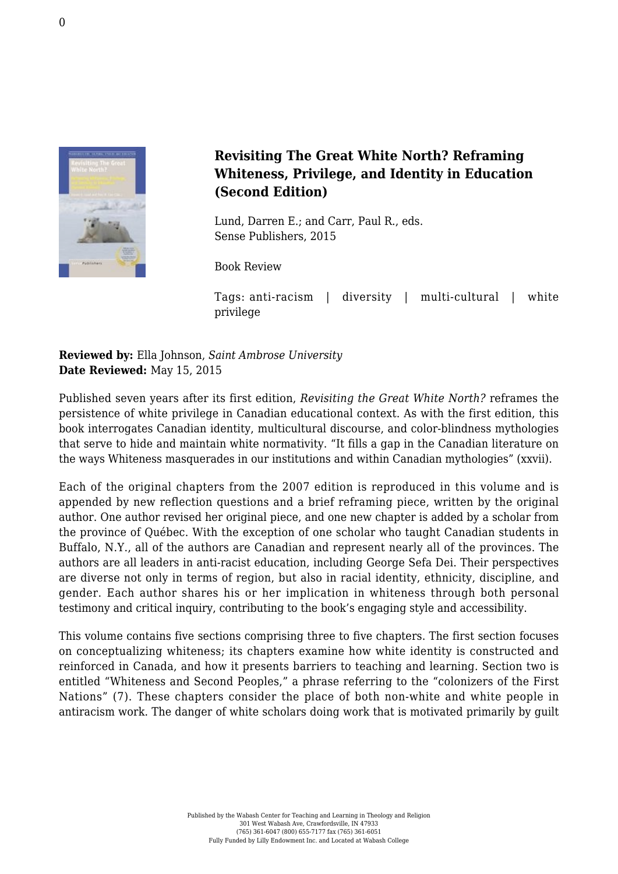

## **Revisiting The Great White North? Reframing Whiteness, Privilege, and Identity in Education (Second Edition)**

Lund, Darren E.; and Carr, Paul R., eds. [Sense Publishers, 2015](https://www.sensepublishers.com/catalogs/bookseries/transgressions-cultural-studies-and-education/revisiting-the-great-white-north-second-edition/)

Book Review

Tags: anti-racism | diversity | multi-cultural | white privilege

**Reviewed by:** Ella Johnson, *Saint Ambrose University* **Date Reviewed:** May 15, 2015

Published seven years after its first edition, *Revisiting the Great White North?* reframes the persistence of white privilege in Canadian educational context. As with the first edition, this book interrogates Canadian identity, multicultural discourse, and color-blindness mythologies that serve to hide and maintain white normativity. "It fills a gap in the Canadian literature on the ways Whiteness masquerades in our institutions and within Canadian mythologies" (xxvii).

Each of the original chapters from the 2007 edition is reproduced in this volume and is appended by new reflection questions and a brief reframing piece, written by the original author. One author revised her original piece, and one new chapter is added by a scholar from the province of Québec. With the exception of one scholar who taught Canadian students in Buffalo, N.Y., all of the authors are Canadian and represent nearly all of the provinces. The authors are all leaders in anti-racist education, including George Sefa Dei. Their perspectives are diverse not only in terms of region, but also in racial identity, ethnicity, discipline, and gender. Each author shares his or her implication in whiteness through both personal testimony and critical inquiry, contributing to the book's engaging style and accessibility.

This volume contains five sections comprising three to five chapters. The first section focuses on conceptualizing whiteness; its chapters examine how white identity is constructed and reinforced in Canada, and how it presents barriers to teaching and learning. Section two is entitled "Whiteness and Second Peoples," a phrase referring to the "colonizers of the First Nations" (7). These chapters consider the place of both non-white and white people in antiracism work. The danger of white scholars doing work that is motivated primarily by guilt